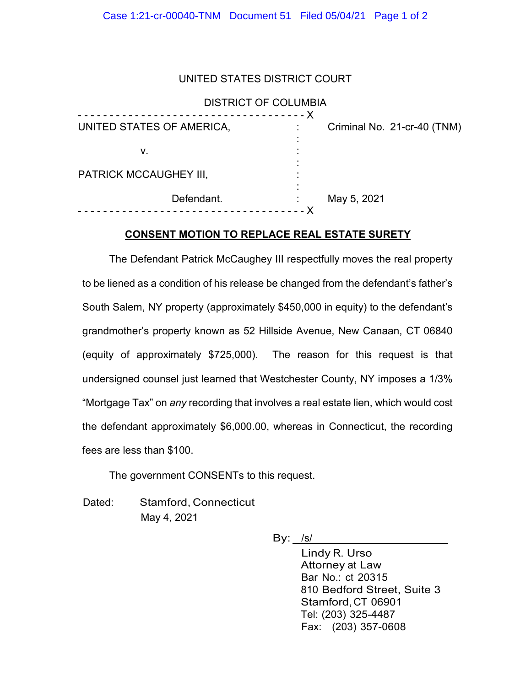## UNITED STATES DISTRICT COURT

| <b>DISTRICT OF COLUMBIA</b> |                             |
|-----------------------------|-----------------------------|
| UNITED STATES OF AMERICA,   | Criminal No. 21-cr-40 (TNM) |
| v.                          |                             |
| PATRICK MCCAUGHEY III,      |                             |
| Defendant.                  | May 5, 2021                 |
|                             |                             |

## **CONSENT MOTION TO REPLACE REAL ESTATE SURETY**

The Defendant Patrick McCaughey III respectfully moves the real property to be liened as a condition of his release be changed from the defendant's father's South Salem, NY property (approximately \$450,000 in equity) to the defendant's grandmother's property known as 52 Hillside Avenue, New Canaan, CT 06840 (equity of approximately \$725,000). The reason for this request is that undersigned counsel just learned that Westchester County, NY imposes a 1/3% "Mortgage Tax" on *any* recording that involves a real estate lien, which would cost the defendant approximately \$6,000.00, whereas in Connecticut, the recording fees are less than \$100.

The government CONSENTs to this request.

Dated: Stamford, Connecticut May 4, 2021

By:  $/s/$ 

Lindy R. Urso Attorney at Law Bar No.: ct 20315 810 Bedford Street, Suite 3 Stamford,CT 06901 Tel: (203) 325-4487 Fax: (203) 357-0608